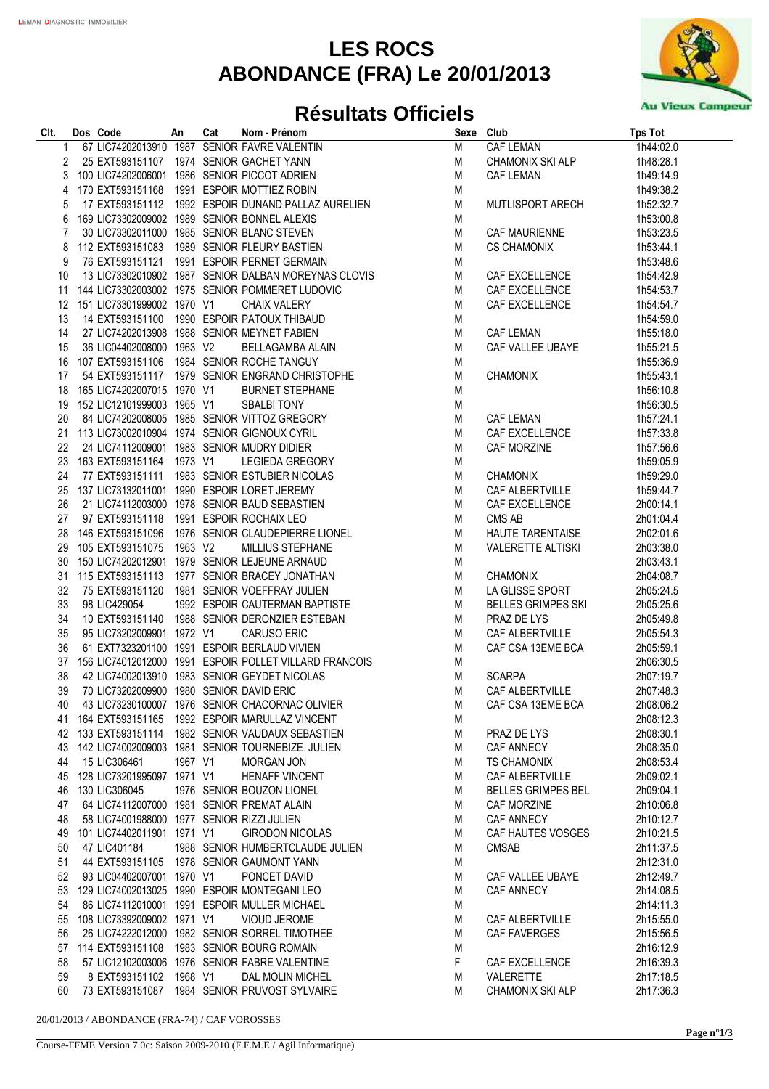## **LES ROCS ABONDANCE (FRA) Le 20/01/2013**



## **Résultats Officiels**

| CIt.     | Dos Code                                   |         | <b>SOCIOLE AN CALCULATE CONSUMING A SUBSERVISOR CONSUMING A SUBSERVISOR CONSUMING A SUBSERVISOR CONSUMING A SUBSERVISOR CONSUMING A SUBSERVISOR CONSUMING A SUBSERVISOR CONSUMING A SUBSERVISOR CONSUMING A SUBSERVISOR CONSUMIN</b> | Sexe Club |                           | <b>Tps Tot</b> |
|----------|--------------------------------------------|---------|--------------------------------------------------------------------------------------------------------------------------------------------------------------------------------------------------------------------------------------|-----------|---------------------------|----------------|
| 1        |                                            |         |                                                                                                                                                                                                                                      | M         | <b>CAF LEMAN</b>          | 1h44:02.0      |
| 2        |                                            |         |                                                                                                                                                                                                                                      | M         | CHAMONIX SKI ALP          | 1h48:28.1      |
| 3        |                                            |         | 100 LIC74202006001 1986 SENIOR PICCOT ADRIEN                                                                                                                                                                                         | M         | CAF LEMAN                 | 1h49:14.9      |
| 4        |                                            |         | 170 EXT593151168 1991 ESPOIR MOTTIEZ ROBIN                                                                                                                                                                                           | M         |                           | 1h49:38.2      |
| 5        |                                            |         | 17 EXT593151112 1992 ESPOIR DUNAND PALLAZ AURELIEN                                                                                                                                                                                   | M         | MUTLISPORT ARECH          | 1h52:32.7      |
| 6        |                                            |         | 169 LIC73302009002 1989 SENIOR BONNEL ALEXIS                                                                                                                                                                                         | M         |                           | 1h53:00.8      |
| 7        |                                            |         | 30 LIC73302011000 1985 SENIOR BLANC STEVEN                                                                                                                                                                                           | M         | CAF MAURIENNE             | 1h53:23.5      |
| 8        |                                            |         | 112 EXT593151083 1989 SENIOR FLEURY BASTIEN                                                                                                                                                                                          | M         | <b>CS CHAMONIX</b>        | 1h53:44.1      |
| 9        |                                            |         | 76 EXT593151121 1991 ESPOIR PERNET GERMAIN                                                                                                                                                                                           | M         |                           | 1h53:48.6      |
| 10       |                                            |         | 13 LIC73302010902 1987 SENIOR DALBAN MOREYNAS CLOVIS                                                                                                                                                                                 | M         | CAF EXCELLENCE            | 1h54:42.9      |
| 11       |                                            |         | 144 LIC73302003002 1975 SENIOR POMMERET LUDOVIC                                                                                                                                                                                      | M         | CAF EXCELLENCE            | 1h54:53.7      |
| 12       | 151 LIC73301999002 1970 V1                 |         | <b>CHAIX VALERY</b>                                                                                                                                                                                                                  | M         | CAF EXCELLENCE            | 1h54:54.7      |
| 13       |                                            |         | 14 EXT593151100 1990 ESPOIR PATOUX THIBAUD                                                                                                                                                                                           | M         |                           | 1h54:59.0      |
| 14       |                                            |         | 27 LIC74202013908 1988 SENIOR MEYNET FABIEN                                                                                                                                                                                          | M         | <b>CAF LEMAN</b>          | 1h55:18.0      |
| 15       | 36 LIC04402008000 1963 V2                  |         | BELLAGAMBA ALAIN                                                                                                                                                                                                                     | M         | CAF VALLEE UBAYE          | 1h55:21.5      |
| 16       |                                            |         | 107 EXT593151106 1984 SENIOR ROCHE TANGUY                                                                                                                                                                                            | M         |                           | 1h55:36.9      |
| 17       |                                            |         | 54 EXT593151117 1979 SENIOR ENGRAND CHRISTOPHE                                                                                                                                                                                       | M         | <b>CHAMONIX</b>           | 1h55:43.1      |
| 18       | 165 LIC74202007015 1970 V1                 |         | <b>BURNET STEPHANE</b>                                                                                                                                                                                                               | M         |                           | 1h56:10.8      |
| 19       | 152 LIC12101999003 1965 V1                 |         | <b>SBALBI TONY</b>                                                                                                                                                                                                                   | M         |                           | 1h56:30.5      |
| 20       |                                            |         | 84 LIC74202008005 1985 SENIOR VITTOZ GREGORY                                                                                                                                                                                         | M         | CAF LEMAN                 | 1h57:24.1      |
| 21       |                                            |         | 113 LIC73002010904 1974 SENIOR GIGNOUX CYRIL                                                                                                                                                                                         | M         | CAF EXCELLENCE            | 1h57:33.8      |
| 22       |                                            |         | 24 LIC74112009001 1983 SENIOR MUDRY DIDIER                                                                                                                                                                                           | M         | CAF MORZINE               | 1h57:56.6      |
| 23       | 163 EXT593151164 1973 V1                   |         | LEGIEDA GREGORY                                                                                                                                                                                                                      | M         |                           | 1h59:05.9      |
| 24       |                                            |         | 77 EXT593151111 1983 SENIOR ESTUBIER NICOLAS                                                                                                                                                                                         | M         | <b>CHAMONIX</b>           | 1h59:29.0      |
| 25       |                                            |         | 137 LIC73132011001 1990 ESPOIR LORET JEREMY                                                                                                                                                                                          | M         | CAF ALBERTVILLE           | 1h59:44.7      |
|          |                                            |         | 21 LIC74112003000 1978 SENIOR BAUD SEBASTIEN                                                                                                                                                                                         | M         |                           | 2h00:14.1      |
| 26<br>27 |                                            |         |                                                                                                                                                                                                                                      |           | CAF EXCELLENCE<br>CMS AB  | 2h01:04.4      |
|          | 97 EXT593151118 1991 ESPOIR ROCHAIX LEO    |         |                                                                                                                                                                                                                                      | M         |                           |                |
| 28       |                                            |         | 146 EXT593151096 1976 SENIOR CLAUDEPIERRE LIONEL                                                                                                                                                                                     | M         | HAUTE TARENTAISE          | 2h02:01.6      |
| 29       | 105 EXT593151075 1963 V2                   |         | MILLIUS STEPHANE                                                                                                                                                                                                                     | M         | <b>VALERETTE ALTISKI</b>  | 2h03:38.0      |
| 30       |                                            |         | 150 LIC74202012901 1979 SENIOR LEJEUNE ARNAUD                                                                                                                                                                                        | M         |                           | 2h03:43.1      |
| 31       | 115 EXT593151113                           |         | 1977 SENIOR BRACEY JONATHAN                                                                                                                                                                                                          | M         | CHAMONIX                  | 2h04:08.7      |
| 32       | 75 EXT593151120                            |         | 1981 SENIOR VOEFFRAY JULIEN                                                                                                                                                                                                          | M         | LA GLISSE SPORT           | 2h05:24.5      |
| 33       | 98 LIC429054                               |         | 1992 ESPOIR CAUTERMAN BAPTISTE                                                                                                                                                                                                       | M         | <b>BELLES GRIMPES SKI</b> | 2h05:25.6      |
| 34       |                                            |         | 10 EXT593151140 1988 SENIOR DERONZIER ESTEBAN                                                                                                                                                                                        | M         | PRAZ DE LYS               | 2h05:49.8      |
| 35       | 95 LIC73202009901 1972 V1                  |         | <b>CARUSO ERIC</b>                                                                                                                                                                                                                   | M         | CAF ALBERTVILLE           | 2h05:54.3      |
| 36       |                                            |         | 61 EXT7323201100 1991 ESPOIR BERLAUD VIVIEN                                                                                                                                                                                          | M         | CAF CSA 13EME BCA         | 2h05:59.1      |
| 37       |                                            |         | 156 LIC74012012000 1991 ESPOIR POLLET VILLARD FRANCOIS                                                                                                                                                                               | M         |                           | 2h06:30.5      |
| 38       |                                            |         | 42 LIC74002013910 1983 SENIOR GEYDET NICOLAS                                                                                                                                                                                         | M         | <b>SCARPA</b>             | 2h07:19.7      |
| 39       | 70 LIC73202009900 1980 SENIOR DAVID ERIC   |         |                                                                                                                                                                                                                                      | M         | CAF ALBERTVILLE           | 2h07:48.3      |
|          |                                            |         | 40 43 LIC73230100007 1976 SENIOR CHACORNAC OLIVIER                                                                                                                                                                                   | ${\sf M}$ | CAF CSA 13EME BCA         | 2h08:06.2      |
| 41       |                                            |         | 164 EXT593151165 1992 ESPOIR MARULLAZ VINCENT                                                                                                                                                                                        | M         |                           | 2h08:12.3      |
|          |                                            |         | 42 133 EXT593151114 1982 SENIOR VAUDAUX SEBASTIEN                                                                                                                                                                                    | M         | PRAZ DE LYS               | 2h08:30.1      |
| 43       |                                            |         | 142 LIC74002009003 1981 SENIOR TOURNEBIZE JULIEN                                                                                                                                                                                     | М         | CAF ANNECY                | 2h08:35.0      |
| 44       | 15 LIC306461                               | 1967 V1 | <b>MORGAN JON</b>                                                                                                                                                                                                                    | M         | <b>TS CHAMONIX</b>        | 2h08:53.4      |
| 45       | 128 LIC73201995097 1971 V1                 |         | <b>HENAFF VINCENT</b>                                                                                                                                                                                                                | M         | <b>CAF ALBERTVILLE</b>    | 2h09:02.1      |
| 46       | 130 LIC306045                              |         | 1976 SENIOR BOUZON LIONEL                                                                                                                                                                                                            | М         | <b>BELLES GRIMPES BEL</b> | 2h09:04.1      |
| 47       |                                            |         | 64 LIC74112007000 1981 SENIOR PREMAT ALAIN                                                                                                                                                                                           | M         | CAF MORZINE               | 2h10:06.8      |
| 48       | 58 LIC74001988000 1977 SENIOR RIZZI JULIEN |         |                                                                                                                                                                                                                                      | M         | CAF ANNECY                | 2h10:12.7      |
| 49       | 101 LIC74402011901 1971 V1                 |         | <b>GIRODON NICOLAS</b>                                                                                                                                                                                                               | M         | CAF HAUTES VOSGES         | 2h10:21.5      |
| 50       | 47 LIC401184                               |         | 1988 SENIOR HUMBERTCLAUDE JULIEN                                                                                                                                                                                                     | M         | <b>CMSAB</b>              | 2h11:37.5      |
| 51       |                                            |         | 44 EXT593151105 1978 SENIOR GAUMONT YANN                                                                                                                                                                                             | M         |                           | 2h12:31.0      |
| 52       | 93 LIC04402007001 1970 V1                  |         | PONCET DAVID                                                                                                                                                                                                                         | M         | CAF VALLEE UBAYE          | 2h12:49.7      |
| 53       |                                            |         | 129 LIC74002013025 1990 ESPOIR MONTEGANI LEO                                                                                                                                                                                         | M         | <b>CAF ANNECY</b>         | 2h14:08.5      |
| 54       |                                            |         | 86 LIC74112010001 1991 ESPOIR MULLER MICHAEL                                                                                                                                                                                         | M         |                           | 2h14:11.3      |
| 55       | 108 LIC73392009002 1971 V1                 |         | <b>VIOUD JEROME</b>                                                                                                                                                                                                                  | M         | CAF ALBERTVILLE           | 2h15:55.0      |
| 56       |                                            |         | 26 LIC74222012000 1982 SENIOR SORREL TIMOTHEE                                                                                                                                                                                        | M         | <b>CAF FAVERGES</b>       | 2h15:56.5      |
| 57       |                                            |         | 114 EXT593151108 1983 SENIOR BOURG ROMAIN                                                                                                                                                                                            | M         |                           | 2h16:12.9      |
| 58       |                                            |         | 57 LIC12102003006 1976 SENIOR FABRE VALENTINE                                                                                                                                                                                        | F         | CAF EXCELLENCE            | 2h16:39.3      |
| 59       | 8 EXT593151102                             | 1968 V1 | DAL MOLIN MICHEL                                                                                                                                                                                                                     | М         | VALERETTE                 | 2h17:18.5      |
| 60       |                                            |         | 73 EXT593151087 1984 SENIOR PRUVOST SYLVAIRE                                                                                                                                                                                         | М         | <b>CHAMONIX SKI ALP</b>   | 2h17:36.3      |

20/01/2013 / ABONDANCE (FRA-74) / CAF VOROSSES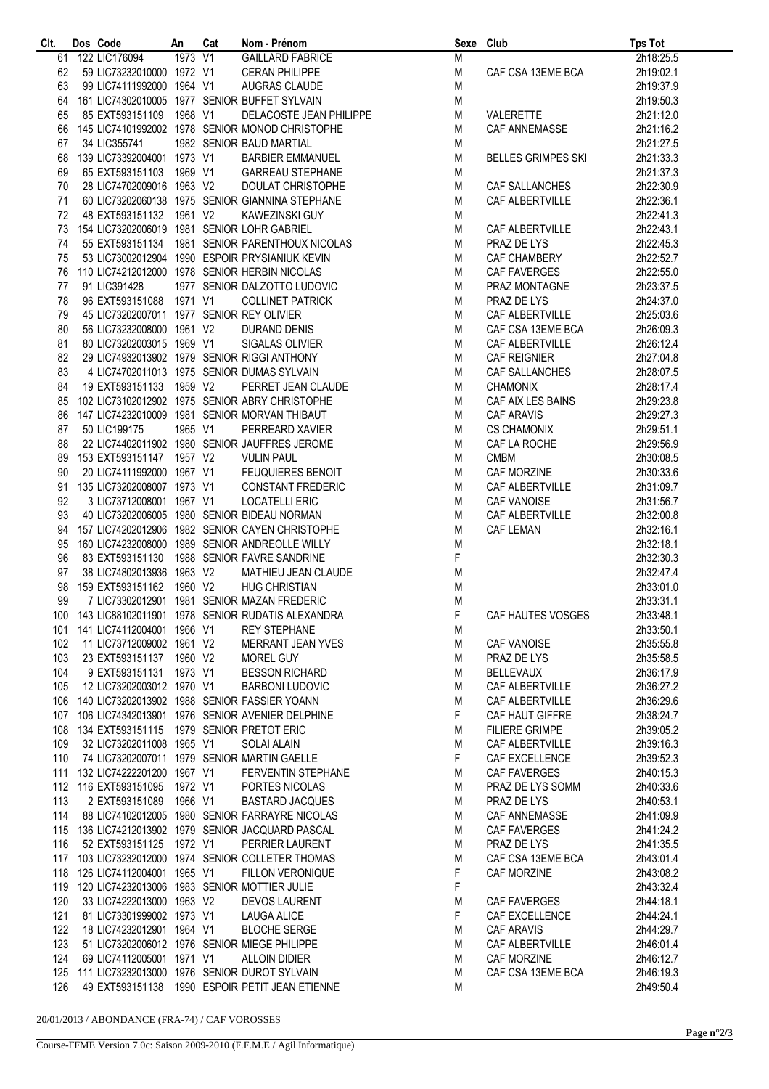| CIt. | Dos Code                                     | An      | Cat | Nom - Prénom                                                                                                                                                                                                                                                                            | Sexe Club   |                       | <b>Tps Tot</b> |
|------|----------------------------------------------|---------|-----|-----------------------------------------------------------------------------------------------------------------------------------------------------------------------------------------------------------------------------------------------------------------------------------------|-------------|-----------------------|----------------|
|      | 61 122 LIC176094                             | 1973 V1 |     | GAILLARD FABRICE                                                                                                                                                                                                                                                                        | M           |                       | 2h18:25.5      |
| 62   | 59 LIC73232010000 1972 V1                    |         |     | <b>CERAN PHILIPPE</b>                                                                                                                                                                                                                                                                   | M           | CAF CSA 13EME BCA     | 2h19:02.1      |
| 63   | 99 LIC74111992000 1964 V1                    |         |     | AUGRAS CLAUDE                                                                                                                                                                                                                                                                           | M           |                       | 2h19:37.9      |
|      |                                              |         |     |                                                                                                                                                                                                                                                                                         |             |                       |                |
|      |                                              |         |     | 64 161 LIC74302010005 1977 SENIOR BUFFET SYLVAIN                                                                                                                                                                                                                                        | M           |                       | 2h19:50.3      |
| 65   | 85 EXT593151109 1968 V1                      |         |     | DELACOSTE JEAN PHILIPPE                                                                                                                                                                                                                                                                 | M           | VALERETTE             | 2h21:12.0      |
|      |                                              |         |     | 66 145 LIC74101992002 1978 SENIOR MONOD CHRISTOPHE                                                                                                                                                                                                                                      | M           | CAF ANNEMASSE         | 2h21:16.2      |
| 67   | 34 LIC355741                                 |         |     | 1982 SENIOR BAUD MARTIAL                                                                                                                                                                                                                                                                | M           |                       | 2h21:27.5      |
|      |                                              |         |     |                                                                                                                                                                                                                                                                                         |             |                       |                |
|      | 68 139 LIC73392004001 1973 V1                |         |     | BARBIER EMMANUEL                                                                                                                                                                                                                                                                        | M           | BELLES GRIMPES SKI    | 2h21:33.3      |
| 69   |                                              |         |     |                                                                                                                                                                                                                                                                                         | M           |                       | 2h21:37.3      |
| 70   |                                              |         |     |                                                                                                                                                                                                                                                                                         | M           | CAF SALLANCHES        | 2h22:30.9      |
| 71   |                                              |         |     |                                                                                                                                                                                                                                                                                         | M           | CAF ALBERTVILLE       | 2h22:36.1      |
|      |                                              |         |     |                                                                                                                                                                                                                                                                                         |             |                       |                |
| 72   |                                              |         |     |                                                                                                                                                                                                                                                                                         | M           |                       | 2h22:41.3      |
| 73   |                                              |         |     | 100 EXT593151103 1969 V1 GARREAU STEPHANE<br>28 LIC74702009016 1963 V2 DOULAT CHRISTOPHE<br>60 LIC73202060138 1975 SENIOR GIANNINA STEPHANE<br>48 EXT593151132 1961 V2 KAWEZINSKI GUY<br>154 LIC73202006019 1981 SENIOR LOHR GABRIEL<br><br>154 LIC73202006019 1981 SENIOR LOHR GABRIEL | M           | CAF ALBERTVILLE       | 2h22:43.1      |
| 74   |                                              |         |     |                                                                                                                                                                                                                                                                                         | M           | PRAZ DE LYS           | 2h22:45.3      |
| 75   |                                              |         |     | 53 LIC73002012904 1990 ESPOIR PRYSIANIUK KEVIN                                                                                                                                                                                                                                          | M           | CAF CHAMBERY          | 2h22:52.7      |
|      |                                              |         |     | 76 110 LIC74212012000 1978 SENIOR HERBIN NICOLAS                                                                                                                                                                                                                                        | M           | CAF FAVERGES          | 2h22:55.0      |
|      |                                              |         |     |                                                                                                                                                                                                                                                                                         |             |                       |                |
| 77   | 91 LIC391428                                 |         |     | 1977 SENIOR DALZOTTO LUDOVIC                                                                                                                                                                                                                                                            | M           | PRAZ MONTAGNE         | 2h23:37.5      |
| 78   | 96 EXT593151088 1971 V1                      |         |     |                                                                                                                                                                                                                                                                                         | M           | PRAZ DE LYS           | 2h24:37.0      |
| 79   | 45 LIC73202007011 1977 SENIOR REY OLIVIER    |         |     |                                                                                                                                                                                                                                                                                         | M           | CAF ALBERTVILLE       | 2h25:03.6      |
| 80   | 56 LIC73232008000 1961 V2                    |         |     |                                                                                                                                                                                                                                                                                         | M           | CAF CSA 13EME BCA     | 2h26:09.3      |
|      |                                              |         |     |                                                                                                                                                                                                                                                                                         |             |                       |                |
| 81   | 80 LIC73202003015 1969 V1                    |         |     |                                                                                                                                                                                                                                                                                         | M           | CAF ALBERTVILLE       | 2h26:12.4      |
| 82   |                                              |         |     | 29 LIC74932013902 1979 SENIOR RIGGI ANTHONY                                                                                                                                                                                                                                             | M           | CAF REIGNIER          | 2h27:04.8      |
| 83   |                                              |         |     | 4 LIC74702011013 1975 SENIOR DUMAS SYLVAIN                                                                                                                                                                                                                                              | M           | CAF SALLANCHES        | 2h28:07.5      |
| 84   | 19 EXT593151133 1959 V2                      |         |     |                                                                                                                                                                                                                                                                                         | M           | <b>CHAMONIX</b>       | 2h28:17.4      |
|      |                                              |         |     | PARENTHOUX NICOLAS<br>PRYSIANIUK KEVIN<br>: HERBIN NICOLAS<br>: DALZOTTO LUDOVIC<br>COLLINET PATRICK<br>? REY OLIVIER<br>DURAND DENIS<br>SIGALAS OLIVIER<br>? RIGGI ANTHONY<br>? DUMAS SYLVAIN<br>PERRET JEAN CLAUDE<br>PERRET JEAN CLAUDE<br>ABRY CHRISTOPHE<br>MORVAN THIBAUT         |             |                       |                |
| 85   |                                              |         |     | 102 LIC73102012902 1975 SENIOR ABRY CHRISTOPHE                                                                                                                                                                                                                                          | M           | CAF AIX LES BAINS     | 2h29:23.8      |
| 86   |                                              |         |     | 147 LIC74232010009 1981 SENIOR MORVAN THIBAUT                                                                                                                                                                                                                                           | M           | <b>CAF ARAVIS</b>     | 2h29:27.3      |
| 87   | 50 LIC199175                                 | 1965 V1 |     | PERREARD XAVIER                                                                                                                                                                                                                                                                         | M           | <b>CS CHAMONIX</b>    | 2h29:51.1      |
| 88   |                                              |         |     | 22 LIC74402011902 1980 SENIOR JAUFFRES JEROME                                                                                                                                                                                                                                           | M           | CAF LA ROCHE          | 2h29:56.9      |
|      |                                              |         |     | 20 LICT4111992000 1967 V2<br>20 LICT4111992000 1967 V1 FEUQUIERES BENOIT<br>1 135 LICT3202008007 1973 V1 CONSTANT FREDERIC<br>2 3 LICT3712008001 1967 V1 LOCATELLI ERIC<br>40 LICT3202006005 1980 SENIOR BIDEAU NORMAN<br>157 LICT420201                                                |             |                       |                |
|      | 89 153 EXT593151147 1957 V2                  |         |     |                                                                                                                                                                                                                                                                                         | M           | <b>CMBM</b>           | 2h30:08.5      |
| 90   |                                              |         |     |                                                                                                                                                                                                                                                                                         | M           | CAF MORZINE           | 2h30:33.6      |
|      | 91 135 LIC73202008007 1973 V1                |         |     |                                                                                                                                                                                                                                                                                         | M           | CAF ALBERTVILLE       | 2h31:09.7      |
| 92   |                                              |         |     |                                                                                                                                                                                                                                                                                         | M           | CAF VANOISE           | 2h31:56.7      |
| 93   |                                              |         |     |                                                                                                                                                                                                                                                                                         | M           | CAF ALBERTVILLE       | 2h32:00.8      |
|      |                                              |         |     |                                                                                                                                                                                                                                                                                         |             |                       |                |
| 94   |                                              |         |     |                                                                                                                                                                                                                                                                                         | M           | <b>CAF LEMAN</b>      | 2h32:16.1      |
| 95   |                                              |         |     |                                                                                                                                                                                                                                                                                         | M           |                       | 2h32:18.1      |
| 96   |                                              |         |     |                                                                                                                                                                                                                                                                                         | $\mathsf F$ |                       | 2h32:30.3      |
| 97   |                                              |         |     |                                                                                                                                                                                                                                                                                         | M           |                       | 2h32:47.4      |
| 98   |                                              |         |     |                                                                                                                                                                                                                                                                                         | M           |                       | 2h33:01.0      |
|      |                                              |         |     |                                                                                                                                                                                                                                                                                         |             |                       |                |
| 99   |                                              |         |     | 7 LIC73302012901 1981 SENIOR MAZAN FREDERIC                                                                                                                                                                                                                                             | M           |                       | 2h33:31.1      |
|      |                                              |         |     | 100  143 LIC88102011901  1978  SENIOR RUDATIS ALEXANDRA                                                                                                                                                                                                                                 | F           | CAF HAUTES VOSGES     | 2h33:48.1      |
| 101  | 141 LIC74112004001 1966 V1                   |         |     | <b>REY STEPHANE</b>                                                                                                                                                                                                                                                                     | M           |                       | 2h33:50.1      |
| 102  | 11 LIC73712009002 1961 V2                    |         |     | MERRANT JEAN YVES                                                                                                                                                                                                                                                                       | M           | <b>CAF VANOISE</b>    | 2h35:55.8      |
|      |                                              |         |     |                                                                                                                                                                                                                                                                                         |             |                       |                |
| 103  | 23 EXT593151137 1960 V2                      |         |     | MOREL GUY                                                                                                                                                                                                                                                                               | M           | PRAZ DE LYS           | 2h35:58.5      |
| 104  | 9 EXT593151131                               | 1973 V1 |     | <b>BESSON RICHARD</b>                                                                                                                                                                                                                                                                   | M           | <b>BELLEVAUX</b>      | 2h36:17.9      |
| 105  | 12 LIC73202003012 1970 V1                    |         |     | <b>BARBONI LUDOVIC</b>                                                                                                                                                                                                                                                                  | М           | CAF ALBERTVILLE       | 2h36:27.2      |
|      |                                              |         |     | 106 140 LIC73202013902 1988 SENIOR FASSIER YOANN                                                                                                                                                                                                                                        | M           | CAF ALBERTVILLE       | 2h36:29.6      |
| 107  |                                              |         |     | 106 LIC74342013901 1976 SENIOR AVENIER DELPHINE                                                                                                                                                                                                                                         | F           | CAF HAUT GIFFRE       | 2h38:24.7      |
|      |                                              |         |     |                                                                                                                                                                                                                                                                                         |             |                       |                |
|      | 108 134 EXT593151115 1979 SENIOR PRETOT ERIC |         |     |                                                                                                                                                                                                                                                                                         | М           | <b>FILIERE GRIMPE</b> | 2h39:05.2      |
| 109  | 32 LIC73202011008 1965 V1                    |         |     | <b>SOLAI ALAIN</b>                                                                                                                                                                                                                                                                      | M           | CAF ALBERTVILLE       | 2h39:16.3      |
| 110  |                                              |         |     | 74 LIC73202007011 1979 SENIOR MARTIN GAELLE                                                                                                                                                                                                                                             | F           | CAF EXCELLENCE        | 2h39:52.3      |
|      | 111 132 LIC74222201200 1967 V1               |         |     | <b>FERVENTIN STEPHANE</b>                                                                                                                                                                                                                                                               | М           | <b>CAF FAVERGES</b>   | 2h40:15.3      |
|      |                                              |         |     |                                                                                                                                                                                                                                                                                         |             |                       |                |
|      | 112 116 EXT593151095                         | 1972 V1 |     | PORTES NICOLAS                                                                                                                                                                                                                                                                          | M           | PRAZ DE LYS SOMM      | 2h40:33.6      |
| 113  | 2 EXT593151089                               | 1966 V1 |     | <b>BASTARD JACQUES</b>                                                                                                                                                                                                                                                                  | M           | PRAZ DE LYS           | 2h40:53.1      |
| 114  |                                              |         |     | 88 LIC74102012005 1980 SENIOR FARRAYRE NICOLAS                                                                                                                                                                                                                                          | M           | CAF ANNEMASSE         | 2h41:09.9      |
|      |                                              |         |     | 115 136 LIC74212013902 1979 SENIOR JACQUARD PASCAL                                                                                                                                                                                                                                      | M           | <b>CAF FAVERGES</b>   | 2h41:24.2      |
| 116  | 52 EXT593151125 1972 V1                      |         |     | PERRIER LAURENT                                                                                                                                                                                                                                                                         | M           | PRAZ DE LYS           | 2h41:35.5      |
|      |                                              |         |     |                                                                                                                                                                                                                                                                                         |             |                       |                |
|      |                                              |         |     | 117 103 LIC73232012000 1974 SENIOR COLLETER THOMAS                                                                                                                                                                                                                                      | M           | CAF CSA 13EME BCA     | 2h43:01.4      |
| 118  | 126 LIC74112004001 1965 V1                   |         |     | <b>FILLON VERONIQUE</b>                                                                                                                                                                                                                                                                 | F           | CAF MORZINE           | 2h43:08.2      |
| 119  |                                              |         |     | 120 LIC74232013006 1983 SENIOR MOTTIER JULIE                                                                                                                                                                                                                                            | F           |                       | 2h43:32.4      |
| 120  | 33 LIC74222013000 1963 V2                    |         |     | <b>DEVOS LAURENT</b>                                                                                                                                                                                                                                                                    | M           | CAF FAVERGES          | 2h44:18.1      |
|      |                                              |         |     |                                                                                                                                                                                                                                                                                         |             |                       |                |
| 121  | 81 LIC73301999002 1973 V1                    |         |     | <b>LAUGA ALICE</b>                                                                                                                                                                                                                                                                      | F           | CAF EXCELLENCE        | 2h44:24.1      |
| 122  | 18 LIC74232012901 1964 V1                    |         |     | <b>BLOCHE SERGE</b>                                                                                                                                                                                                                                                                     | M           | <b>CAF ARAVIS</b>     | 2h44:29.7      |
| 123  |                                              |         |     | 51 LIC73202006012 1976 SENIOR MIEGE PHILIPPE                                                                                                                                                                                                                                            | M           | CAF ALBERTVILLE       | 2h46:01.4      |
| 124  | 69 LIC74112005001 1971 V1                    |         |     | <b>ALLOIN DIDIER</b>                                                                                                                                                                                                                                                                    | М           | CAF MORZINE           | 2h46:12.7      |
|      |                                              |         |     | 125 111 LIC73232013000 1976 SENIOR DUROT SYLVAIN                                                                                                                                                                                                                                        | M           | CAF CSA 13EME BCA     | 2h46:19.3      |
|      |                                              |         |     |                                                                                                                                                                                                                                                                                         |             |                       |                |
| 126  | 49 EXT593151138                              |         |     | 1990 ESPOIR PETIT JEAN ETIENNE                                                                                                                                                                                                                                                          | M           |                       | 2h49:50.4      |

20/01/2013 / ABONDANCE (FRA-74) / CAF VOROSSES